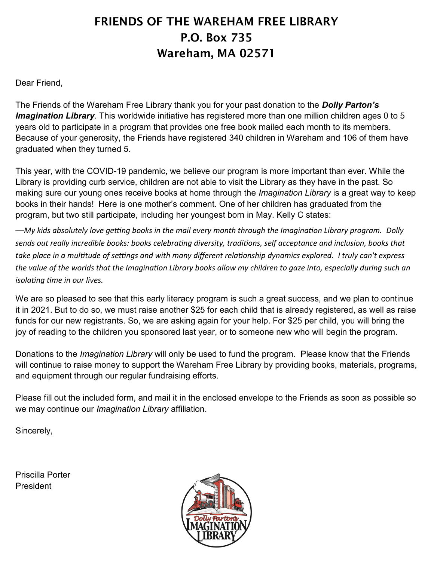## FRIENDS OF THE WAREHAM FREE LIBRARY P.O. Box 735 Wareham, MA 02571

Dear Friend,

The Friends of the Wareham Free Library thank you for your past donation to the *Dolly Parton's Imagination Library*. This worldwide initiative has registered more than one million children ages 0 to 5 years old to participate in a program that provides one free book mailed each month to its members. Because of your generosity, the Friends have registered 340 children in Wareham and 106 of them have graduated when they turned 5.

This year, with the COVID-19 pandemic, we believe our program is more important than ever. While the Library is providing curb service, children are not able to visit the Library as they have in the past. So making sure our young ones receive books at home through the *Imagination Library* is a great way to keep books in their hands! Here is one mother's comment. One of her children has graduated from the program, but two still participate, including her youngest born in May. Kelly C states:

—*My kids absolutely love getting books in the mail every month through the Imagination Library program. Dolly sends out really incredible books: books celebrating diversity, traditions, self acceptance and inclusion, books that take place in a multitude of settings and with many different relationship dynamics explored. I truly can't express the value of the worlds that the Imagination Library books allow my children to gaze into, especially during such an isolating time in our lives.*

We are so pleased to see that this early literacy program is such a great success, and we plan to continue it in 2021. But to do so, we must raise another \$25 for each child that is already registered, as well as raise funds for our new registrants. So, we are asking again for your help. For \$25 per child, you will bring the joy of reading to the children you sponsored last year, or to someone new who will begin the program.

Donations to the *Imagination Library* will only be used to fund the program. Please know that the Friends will continue to raise money to support the Wareham Free Library by providing books, materials, programs, and equipment through our regular fundraising efforts.

Please fill out the included form, and mail it in the enclosed envelope to the Friends as soon as possible so we may continue our *Imagination Library* affiliation.

Sincerely,

Priscilla Porter President